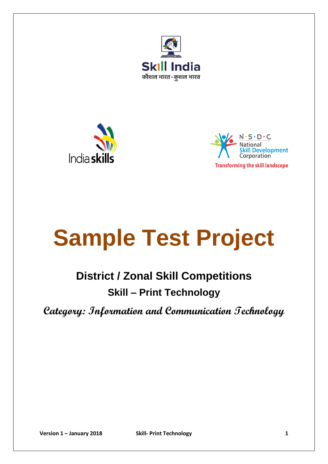





# **Sample Test Project**

# **District / Zonal Skill Competitions Skill – Print Technology**

**Category: Information and Communication Technology**

**Version 1 – January 2018 Skill- Print Technology 1**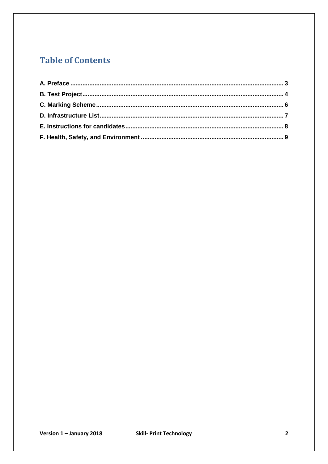# **Table of Contents**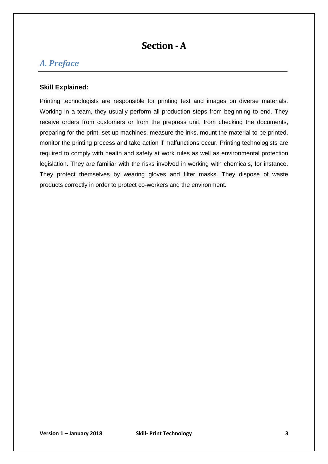# **Section -A**

## <span id="page-2-0"></span>*A. Preface*

#### **Skill Explained:**

Printing technologists are responsible for printing text and images on diverse materials. Working in a team, they usually perform all production steps from beginning to end. They receive orders from customers or from the prepress unit, from checking the documents, preparing for the print, set up machines, measure the inks, mount the material to be printed, monitor the printing process and take action if malfunctions occur. Printing technologists are required to comply with health and safety at work rules as well as environmental protection legislation. They are familiar with the risks involved in working with chemicals, for instance. They protect themselves by wearing gloves and filter masks. They dispose of waste products correctly in order to protect co-workers and the environment.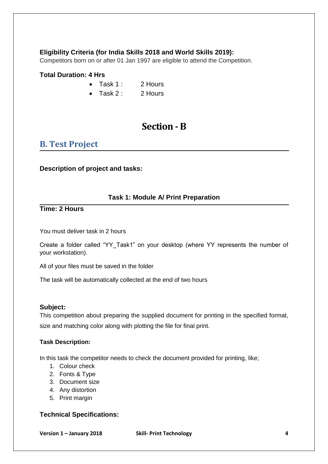## **Eligibility Criteria (for India Skills 2018 and World Skills 2019):**

Competitors born on or after 01 Jan 1997 are eligible to attend the Competition.

#### **Total Duration: 4 Hrs**

- Task 1: 2 Hours
- $\bullet$  Task 2 : 2 Hours

# **Section - B**

## <span id="page-3-0"></span>**B. Test Project**

**Description of project and tasks:**

#### **Task 1: Module A/ Print Preparation**

### **Time: 2 Hours**

You must deliver task in 2 hours

Create a folder called "YY\_Task1" on your desktop (where YY represents the number of your workstation).

All of your files must be saved in the folder

The task will be automatically collected at the end of two hours

#### **Subject:**

This competition about preparing the supplied document for printing in the specified format, size and matching color along with plotting the file for final print.

#### **Task Description:**

In this task the competitor needs to check the document provided for printing, like;

- 1. Colour check
- 2. Fonts & Type
- 3. Document size
- 4. Any distortion
- 5. Print margin

#### **Technical Specifications:**

**Version 1 – January 2018 Skill- Print Technology 4**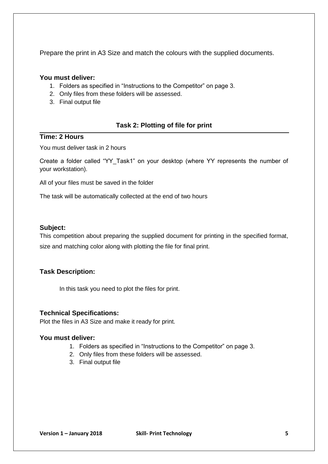Prepare the print in A3 Size and match the colours with the supplied documents.

#### **You must deliver:**

- 1. Folders as specified in "Instructions to the Competitor" on page 3.
- 2. Only files from these folders will be assessed.
- 3. Final output file

#### **Task 2: Plotting of file for print**

## **Time: 2 Hours**

You must deliver task in 2 hours

Create a folder called "YY\_Task1" on your desktop (where YY represents the number of your workstation).

All of your files must be saved in the folder

The task will be automatically collected at the end of two hours

#### **Subject:**

This competition about preparing the supplied document for printing in the specified format, size and matching color along with plotting the file for final print.

#### **Task Description:**

In this task you need to plot the files for print.

#### **Technical Specifications:**

Plot the files in A3 Size and make it ready for print.

#### **You must deliver:**

- 1. Folders as specified in "Instructions to the Competitor" on page 3.
- 2. Only files from these folders will be assessed.
- 3. Final output file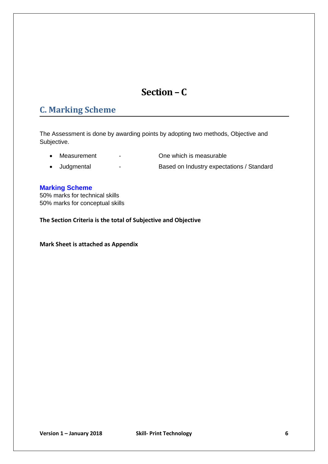# **Section – C**

# <span id="page-5-0"></span>**C. Marking Scheme**

The Assessment is done by awarding points by adopting two methods, Objective and Subjective.

- Measurement Che which is measurable
- Judgmental The Based on Industry expectations / Standard

#### **Marking Scheme**

50% marks for technical skills 50% marks for conceptual skills

**The Section Criteria is the total of Subjective and Objective** 

**Mark Sheet is attached as Appendix**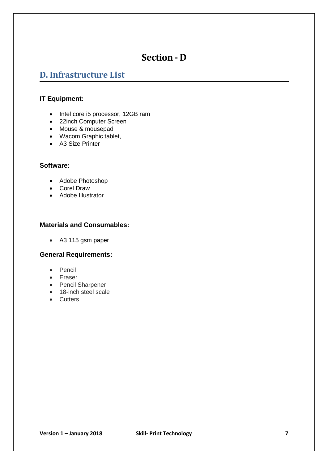# **Section - D**

## <span id="page-6-0"></span>**D. Infrastructure List**

#### **IT Equipment:**

- Intel core i5 processor, 12GB ram
- 22inch Computer Screen
- Mouse & mousepad
- Wacom Graphic tablet,
- A3 Size Printer

#### **Software:**

- Adobe Photoshop
- Corel Draw
- Adobe Illustrator

#### **Materials and Consumables:**

A3 115 gsm paper

## **General Requirements:**

- Pencil
- Eraser
- Pencil Sharpener
- 18-inch steel scale
- Cutters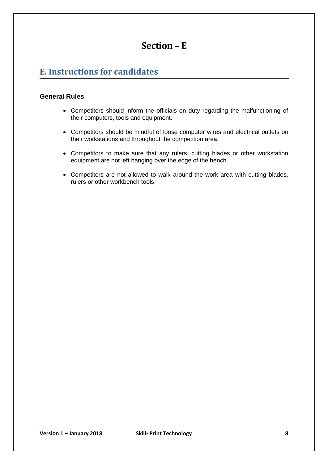# **Section – E**

## <span id="page-7-0"></span>**E. Instructions for candidates**

#### **General Rules**

- Competitors should inform the officials on duty regarding the malfunctioning of their computers, tools and equipment.
- Competitors should be mindful of loose computer wires and electrical outlets on their workstations and throughout the competition area.
- Competitors to make sure that any rulers, cutting blades or other workstation equipment are not left hanging over the edge of the bench.
- Competitors are not allowed to walk around the work area with cutting blades, rulers or other workbench tools.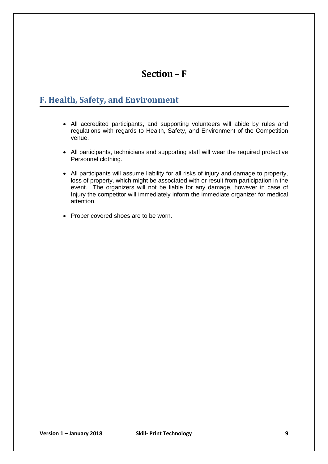# **Section – F**

## <span id="page-8-0"></span>**F. Health, Safety, and Environment**

- All accredited participants, and supporting volunteers will abide by rules and regulations with regards to Health, Safety, and Environment of the Competition venue.
- All participants, technicians and supporting staff will wear the required protective Personnel clothing.
- All participants will assume liability for all risks of injury and damage to property, loss of property, which might be associated with or result from participation in the event. The organizers will not be liable for any damage, however in case of Injury the competitor will immediately inform the immediate organizer for medical attention.
- Proper covered shoes are to be worn.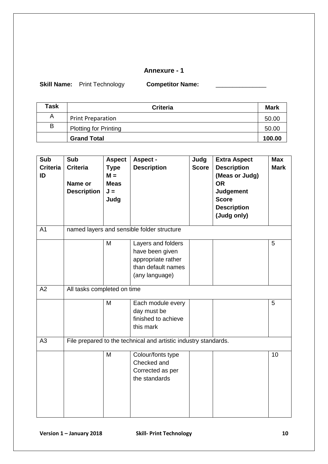#### **Annexure - 1**

## **Skill Name:** Print Technology **Competitor Name:**

| Task | <b>Criteria</b>              | <b>Mark</b> |
|------|------------------------------|-------------|
| Α    | <b>Print Preparation</b>     | 50.00       |
| B    | <b>Plotting for Printing</b> | 50.00       |
|      | <b>Grand Total</b>           | 100.00      |

| Sub<br><b>Criteria</b><br>ID | Sub<br><b>Criteria</b><br>Name or<br><b>Description</b>         | <b>Aspect</b><br><b>Type</b><br>$M =$<br><b>Meas</b><br>$J =$<br>Judg | Aspect -<br><b>Description</b>                                                                      | Judg<br><b>Score</b> | <b>Extra Aspect</b><br><b>Description</b><br>(Meas or Judg)<br><b>OR</b><br><b>Judgement</b><br><b>Score</b><br><b>Description</b><br>(Judg only) | <b>Max</b><br><b>Mark</b> |
|------------------------------|-----------------------------------------------------------------|-----------------------------------------------------------------------|-----------------------------------------------------------------------------------------------------|----------------------|---------------------------------------------------------------------------------------------------------------------------------------------------|---------------------------|
| A <sub>1</sub>               |                                                                 |                                                                       | named layers and sensible folder structure                                                          |                      |                                                                                                                                                   |                           |
|                              |                                                                 | M                                                                     | Layers and folders<br>have been given<br>appropriate rather<br>than default names<br>(any language) |                      |                                                                                                                                                   | 5                         |
| A2                           | All tasks completed on time                                     |                                                                       |                                                                                                     |                      |                                                                                                                                                   |                           |
|                              |                                                                 | M                                                                     | Each module every<br>day must be<br>finished to achieve<br>this mark                                |                      |                                                                                                                                                   | 5                         |
| A3                           | File prepared to the technical and artistic industry standards. |                                                                       |                                                                                                     |                      |                                                                                                                                                   |                           |
|                              |                                                                 | M                                                                     | Colour/fonts type<br>Checked and<br>Corrected as per<br>the standards                               |                      |                                                                                                                                                   | 10                        |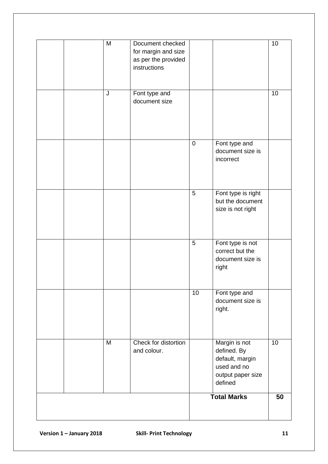|             |                                                                                |            | default, margin<br>used and no<br>output paper size<br>defined<br><b>Total Marks</b> | 50 |
|-------------|--------------------------------------------------------------------------------|------------|--------------------------------------------------------------------------------------|----|
| M           | Check for distortion<br>and colour.                                            |            | Margin is not<br>defined. By                                                         | 10 |
|             |                                                                                | 10         | Font type and<br>document size is<br>right.                                          |    |
|             |                                                                                | 5          | Font type is not<br>correct but the<br>document size is<br>right                     |    |
|             |                                                                                | $\sqrt{5}$ | Font type is right<br>but the document<br>size is not right                          |    |
|             |                                                                                | $\pmb{0}$  | Font type and<br>document size is<br>incorrect                                       |    |
| $\mathsf J$ | Font type and<br>document size                                                 |            |                                                                                      | 10 |
| M           | Document checked<br>for margin and size<br>as per the provided<br>instructions |            |                                                                                      | 10 |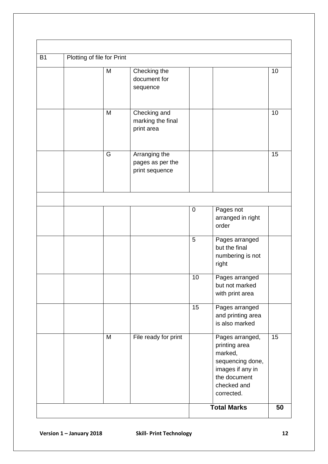| <b>B1</b> | Plotting of file for Print |   |                                                     |           |                                                                                                                                  |    |  |
|-----------|----------------------------|---|-----------------------------------------------------|-----------|----------------------------------------------------------------------------------------------------------------------------------|----|--|
|           |                            | M | Checking the<br>document for<br>sequence            |           |                                                                                                                                  | 10 |  |
|           |                            | M | Checking and<br>marking the final<br>print area     |           |                                                                                                                                  | 10 |  |
|           |                            | G | Arranging the<br>pages as per the<br>print sequence |           |                                                                                                                                  | 15 |  |
|           |                            |   |                                                     |           |                                                                                                                                  |    |  |
|           |                            |   |                                                     | $\pmb{0}$ | Pages not<br>arranged in right<br>order                                                                                          |    |  |
|           |                            |   |                                                     | 5         | Pages arranged<br>but the final<br>numbering is not<br>right                                                                     |    |  |
|           |                            |   |                                                     | 10        | Pages arranged<br>but not marked<br>with print area                                                                              |    |  |
|           |                            |   |                                                     | 15        | Pages arranged<br>and printing area<br>is also marked                                                                            |    |  |
|           |                            | M | File ready for print                                |           | Pages arranged,<br>printing area<br>marked,<br>sequencing done,<br>images if any in<br>the document<br>checked and<br>corrected. | 15 |  |
|           |                            |   |                                                     |           | <b>Total Marks</b>                                                                                                               | 50 |  |